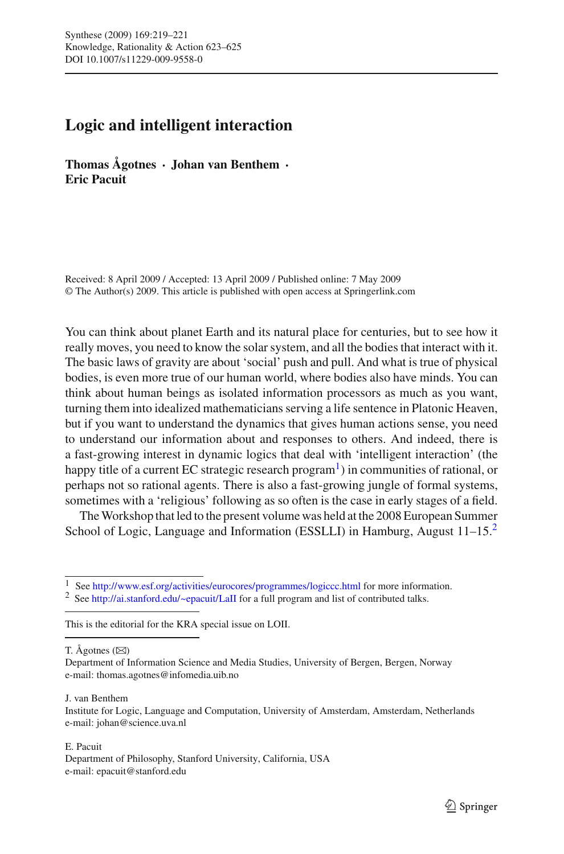## **Logic and intelligent interaction**

**Thomas Ågotnes · Johan van Benthem · Eric Pacuit**

Received: 8 April 2009 / Accepted: 13 April 2009 / Published online: 7 May 2009 © The Author(s) 2009. This article is published with open access at Springerlink.com

You can think about planet Earth and its natural place for centuries, but to see how it really moves, you need to know the solar system, and all the bodies that interact with it. The basic laws of gravity are about 'social' push and pull. And what is true of physical bodies, is even more true of our human world, where bodies also have minds. You can think about human beings as isolated information processors as much as you want, turning them into idealized mathematicians serving a life sentence in Platonic Heaven, but if you want to understand the dynamics that gives human actions sense, you need to understand our information about and responses to others. And indeed, there is a fast-growing interest in dynamic logics that deal with 'intelligent interaction' (the happy title of a current EC strategic research program<sup>1</sup>) in communities of rational, or perhaps not so rational agents. There is also a fast-growing jungle of formal systems, sometimes with a 'religious' following as so often is the case in early stages of a field.

The Workshop that led to the present volume was held at the 2008 European Summer School of Logic, Language and Information (ESSLLI) in Hamburg, August 11–15.<sup>2</sup>

This is the editorial for the KRA special issue on LOII.

T. Ågotnes  $(\boxtimes)$ 

J. van Benthem

E. Pacuit

<sup>1</sup> See http://www.esf.org/activities/eurocores/programmes/logiccc.html for more information.

<sup>2</sup> See http://ai.stanford.edu/~epacuit/LaII for a full program and list of contributed talks.

Department of Information Science and Media Studies, University of Bergen, Bergen, Norway e-mail: thomas.agotnes@infomedia.uib.no

Institute for Logic, Language and Computation, University of Amsterdam, Amsterdam, Netherlands e-mail: johan@science.uva.nl

Department of Philosophy, Stanford University, California, USA e-mail: epacuit@stanford.edu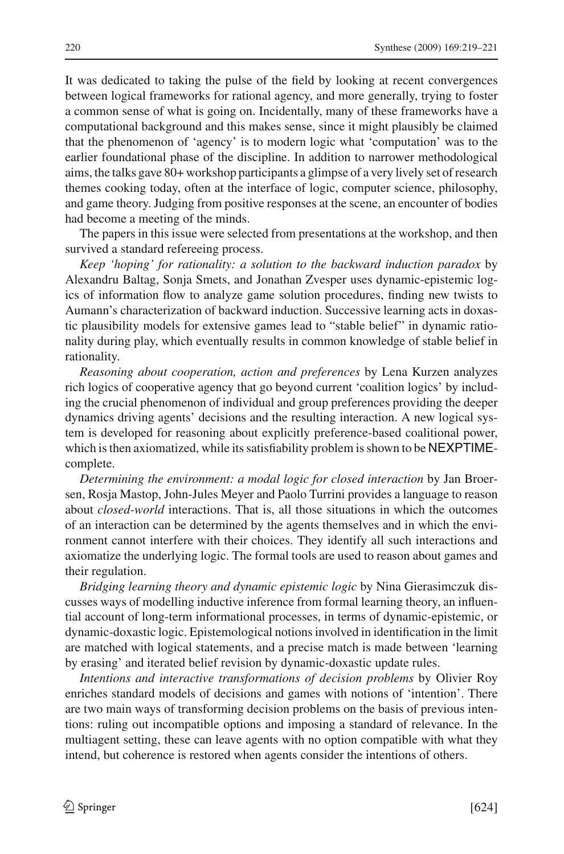It was dedicated to taking the pulse of the field by looking at recent convergences between logical frameworks for rational agency, and more generally, trying to foster a common sense of what is going on. Incidentally, many of these frameworks have a computational background and this makes sense, since it might plausibly be claimed that the phenomenon of 'agency' is to modern logic what 'computation' was to the earlier foundational phase of the discipline. In addition to narrower methodological aims, the talks gave 80+ workshop participants a glimpse of a very lively set of research themes cooking today, often at the interface of logic, computer science, philosophy, and game theory. Judging from positive responses at the scene, an encounter of bodies had become a meeting of the minds.

The papers in this issue were selected from presentations at the workshop, and then survived a standard refereeing process.

*Keep 'hoping' for rationality: a solution to the backward induction paradox* by Alexandru Baltag, Sonja Smets, and Jonathan Zvesper uses dynamic-epistemic logics of information flow to analyze game solution procedures, finding new twists to Aumann's characterization of backward induction. Successive learning acts in doxastic plausibility models for extensive games lead to "stable belief" in dynamic rationality during play, which eventually results in common knowledge of stable belief in rationality.

*Reasoning about cooperation, action and preferences* by Lena Kurzen analyzes rich logics of cooperative agency that go beyond current 'coalition logics' by including the crucial phenomenon of individual and group preferences providing the deeper dynamics driving agents' decisions and the resulting interaction. A new logical system is developed for reasoning about explicitly preference-based coalitional power, which is then axiomatized, while its satisfiability problem is shown to be NEXPTIMEcomplete.

*Determining the environment: a modal logic for closed interaction* by Jan Broersen, Rosja Mastop, John-Jules Meyer and Paolo Turrini provides a language to reason about *closed-world* interactions. That is, all those situations in which the outcomes of an interaction can be determined by the agents themselves and in which the environment cannot interfere with their choices. They identify all such interactions and axiomatize the underlying logic. The formal tools are used to reason about games and their regulation.

*Bridging learning theory and dynamic epistemic logic* by Nina Gierasimczuk discusses ways of modelling inductive inference from formal learning theory, an influential account of long-term informational processes, in terms of dynamic-epistemic, or dynamic-doxastic logic. Epistemological notions involved in identification in the limit are matched with logical statements, and a precise match is made between 'learning by erasing' and iterated belief revision by dynamic-doxastic update rules.

*Intentions and interactive transformations of decision problems* by Olivier Roy enriches standard models of decisions and games with notions of 'intention'. There are two main ways of transforming decision problems on the basis of previous intentions: ruling out incompatible options and imposing a standard of relevance. In the multiagent setting, these can leave agents with no option compatible with what they intend, but coherence is restored when agents consider the intentions of others.